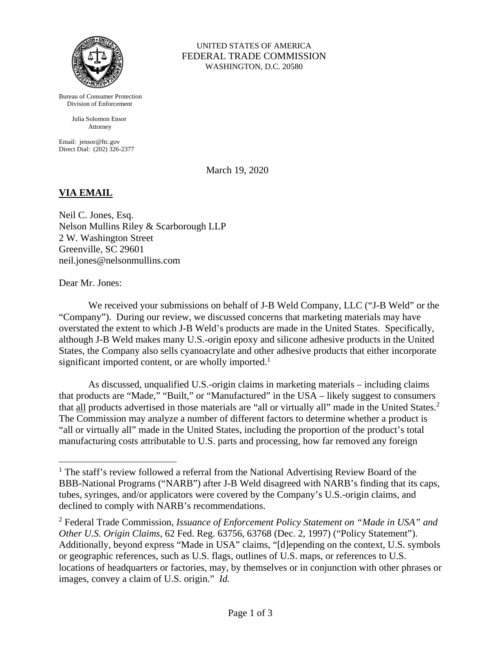

Bureau of Consumer Protection Division of Enforcement

> Julia Solomon Ensor Attorney

Email: jensor@ftc.gov Direct Dial: (202) 326-2377

UNITED STATES OF AMERICA FEDERAL TRADE COMMISSION WASHINGTON, D.C. 20580

March 19, 2020

## **VIA EMAIL**

Neil C. Jones, Esq. Nelson Mullins Riley & Scarborough LLP 2 W. Washington Street Greenville, SC 29601 neil.jones@nelsonmullins.com

Dear Mr. Jones:

 $\overline{a}$ 

 We received your submissions on behalf of J-B Weld Company, LLC ("J-B Weld" or the "Company"). During our review, we discussed concerns that marketing materials may have overstated the extent to which J-B Weld's products are made in the United States. Specifically, although J-B Weld makes many U.S.-origin epoxy and silicone adhesive products in the United States, the Company also sells cyanoacrylate and other adhesive products that either incorporate significant imported content, or are wholly imported.<sup>1</sup>

As discussed, unqualified U.S.-origin claims in marketing materials – including claims that products are "Made," "Built," or "Manufactured" in the USA – likely suggest to consumers that all products advertised in those materials are "all or virtually all" made in the United States.<sup>2</sup> The Commission may analyze a number of different factors to determine whether a product is "all or virtually all" made in the United States, including the proportion of the product's total manufacturing costs attributable to U.S. parts and processing, how far removed any foreign

<sup>&</sup>lt;sup>1</sup> The staff's review followed a referral from the National Advertising Review Board of the BBB-National Programs ("NARB") after J-B Weld disagreed with NARB's finding that its caps, tubes, syringes, and/or applicators were covered by the Company's U.S.-origin claims, and declined to comply with NARB's recommendations.

<sup>2</sup> Federal Trade Commission, *Issuance of Enforcement Policy Statement on "Made in USA" and Other U.S. Origin Claims*, 62 Fed. Reg. 63756, 63768 (Dec. 2, 1997) ("Policy Statement"). Additionally, beyond express "Made in USA" claims, "[d]epending on the context, U.S. symbols or geographic references, such as U.S. flags, outlines of U.S. maps, or references to U.S. locations of headquarters or factories, may, by themselves or in conjunction with other phrases or images, convey a claim of U.S. origin." *Id.*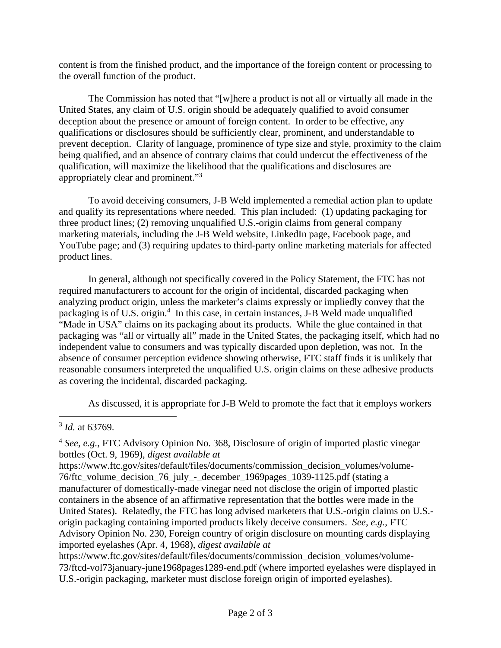content is from the finished product, and the importance of the foreign content or processing to the overall function of the product.

The Commission has noted that "[w]here a product is not all or virtually all made in the United States, any claim of U.S. origin should be adequately qualified to avoid consumer deception about the presence or amount of foreign content. In order to be effective, any qualifications or disclosures should be sufficiently clear, prominent, and understandable to prevent deception. Clarity of language, prominence of type size and style, proximity to the claim being qualified, and an absence of contrary claims that could undercut the effectiveness of the qualification, will maximize the likelihood that the qualifications and disclosures are appropriately clear and prominent."3

To avoid deceiving consumers, J-B Weld implemented a remedial action plan to update and qualify its representations where needed. This plan included: (1) updating packaging for three product lines; (2) removing unqualified U.S.-origin claims from general company marketing materials, including the J-B Weld website, LinkedIn page, Facebook page, and YouTube page; and (3) requiring updates to third-party online marketing materials for affected product lines.

In general, although not specifically covered in the Policy Statement, the FTC has not required manufacturers to account for the origin of incidental, discarded packaging when analyzing product origin, unless the marketer's claims expressly or impliedly convey that the packaging is of U.S. origin.<sup>4</sup> In this case, in certain instances, J-B Weld made unqualified "Made in USA" claims on its packaging about its products. While the glue contained in that packaging was "all or virtually all" made in the United States, the packaging itself, which had no independent value to consumers and was typically discarded upon depletion, was not. In the absence of consumer perception evidence showing otherwise, FTC staff finds it is unlikely that reasonable consumers interpreted the unqualified U.S. origin claims on these adhesive products as covering the incidental, discarded packaging.

As discussed, it is appropriate for J-B Weld to promote the fact that it employs workers

 $\overline{a}$ <sup>3</sup> *Id.* at 63769.

<sup>4</sup> *See, e.g.*, FTC Advisory Opinion No. 368, Disclosure of origin of imported plastic vinegar bottles (Oct. 9, 1969), *digest available at* 

https://www.ftc.gov/sites/default/files/documents/commission\_decision\_volumes/volume-76/ftc\_volume\_decision\_76\_july\_-\_december\_1969pages\_1039-1125.pdf (stating a manufacturer of domestically-made vinegar need not disclose the origin of imported plastic containers in the absence of an affirmative representation that the bottles were made in the United States). Relatedly, the FTC has long advised marketers that U.S.-origin claims on U.S. origin packaging containing imported products likely deceive consumers. *See, e.g.*, FTC Advisory Opinion No. 230, Foreign country of origin disclosure on mounting cards displaying imported eyelashes (Apr. 4, 1968), *digest available at* 

https://www.ftc.gov/sites/default/files/documents/commission\_decision\_volumes/volume-73/ftcd-vol73january-june1968pages1289-end.pdf (where imported eyelashes were displayed in U.S.-origin packaging, marketer must disclose foreign origin of imported eyelashes).